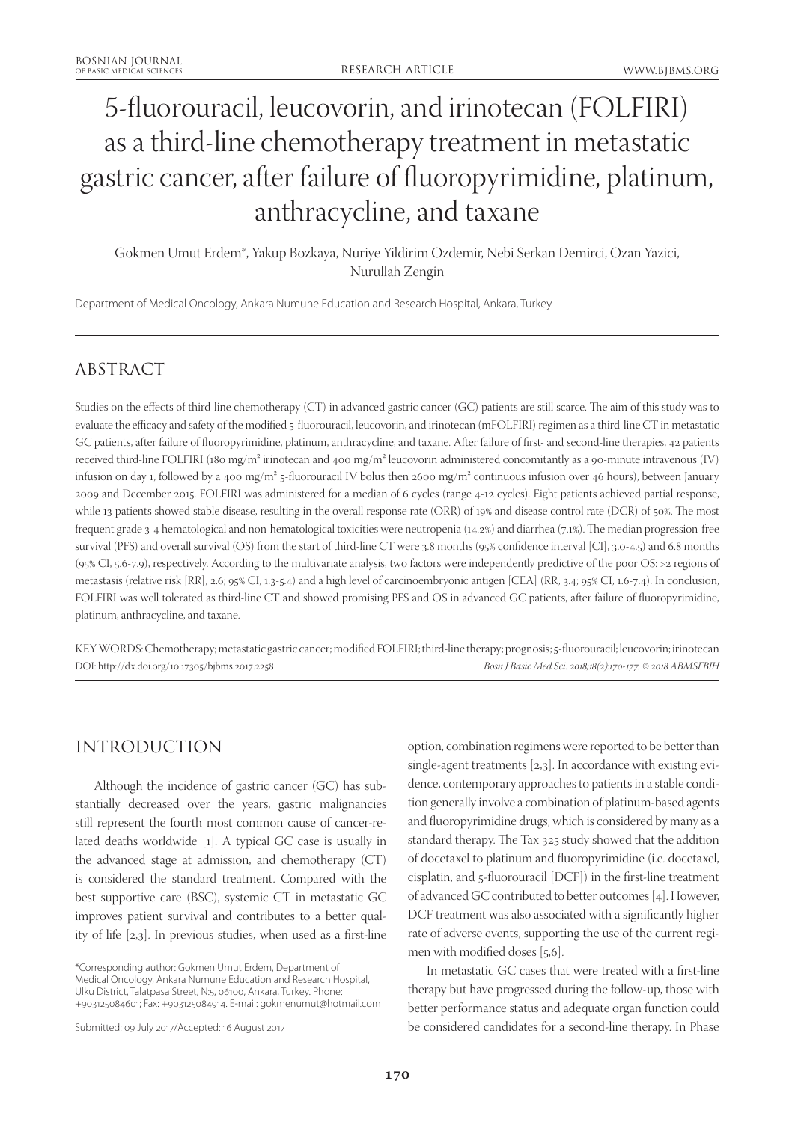# 5-fluorouracil, leucovorin, and irinotecan (FOLFIRI) as a third-line chemotherapy treatment in metastatic gastric cancer, after failure of fluoropyrimidine, platinum, anthracycline, and taxane

Gokmen Umut Erdem\*, Yakup Bozkaya, Nuriye Yildirim Ozdemir, Nebi Serkan Demirci, Ozan Yazici, Nurullah Zengin

Department of Medical Oncology, Ankara Numune Education and Research Hospital, Ankara, Turkey

# ABSTRACT

Studies on the effects of third-line chemotherapy (CT) in advanced gastric cancer (GC) patients are still scarce. The aim of this study was to evaluate the efficacy and safety of the modified 5-fluorouracil, leucovorin, and irinotecan (mFOLFIRI) regimen as a third-line CT in metastatic GC patients, after failure of fluoropyrimidine, platinum, anthracycline, and taxane. After failure of first- and second-line therapies, 42 patients received third-line FOLFIRI (180 mg/m<sup>2</sup> irinotecan and 400 mg/m<sup>2</sup> leucovorin administered concomitantly as a 90-minute intravenous (IV) infusion on day 1, followed by a 400 mg/m² 5-fluorouracil IV bolus then 2600 mg/m² continuous infusion over 46 hours), between January 2009 and December 2015. FOLFIRI was administered for a median of 6 cycles (range 4-12 cycles). Eight patients achieved partial response, while 13 patients showed stable disease, resulting in the overall response rate (ORR) of 19% and disease control rate (DCR) of 50%. The most frequent grade 3-4 hematological and non-hematological toxicities were neutropenia (14.2%) and diarrhea (7.1%). The median progression-free survival (PFS) and overall survival (OS) from the start of third-line CT were 3.8 months (95% confidence interval [CI], 3.0-4.5) and 6.8 months (95% CI, 5.6-7.9), respectively. According to the multivariate analysis, two factors were independently predictive of the poor OS: >2 regions of metastasis (relative risk [RR], 2.6; 95% CI, 1.3-5.4) and a high level of carcinoembryonic antigen [CEA] (RR, 3.4; 95% CI, 1.6-7.4). In conclusion, FOLFIRI was well tolerated as third-line CT and showed promising PFS and OS in advanced GC patients, after failure of fluoropyrimidine, platinum, anthracycline, and taxane.

KEY WORDS: Chemotherapy; metastatic gastric cancer; modified FOLFIRI; third-line therapy; prognosis; 5-fluorouracil; leucovorin; irinotecan DOI: http://dx.doi.org/10.17305/bjbms.2017.2258 *Bosn J Basic Med Sci. 2018;18(2):170-177. © 2018 ABMSFBIH*

## INTRODUCTION

Although the incidence of gastric cancer (GC) has substantially decreased over the years, gastric malignancies still represent the fourth most common cause of cancer-related deaths worldwide [1]. A typical GC case is usually in the advanced stage at admission, and chemotherapy (CT) is considered the standard treatment. Compared with the best supportive care (BSC), systemic CT in metastatic GC improves patient survival and contributes to a better quality of life [2,3]. In previous studies, when used as a first-line

option, combination regimens were reported to be better than single-agent treatments [2,3]. In accordance with existing evidence, contemporary approaches to patients in a stable condition generally involve a combination of platinum-based agents and fluoropyrimidine drugs, which is considered by many as a standard therapy. The Tax 325 study showed that the addition of docetaxel to platinum and fluoropyrimidine (i.e. docetaxel, cisplatin, and 5-fluorouracil [DCF]) in the first-line treatment of advanced GC contributed to better outcomes [4]. However, DCF treatment was also associated with a significantly higher rate of adverse events, supporting the use of the current regimen with modified doses [5,6].

In metastatic GC cases that were treated with a first-line therapy but have progressed during the follow-up, those with better performance status and adequate organ function could be considered candidates for a second-line therapy. In Phase

<sup>\*</sup>Corresponding author: Gokmen Umut Erdem, Department of Medical Oncology, Ankara Numune Education and Research Hospital, Ulku District, Talatpasa Street, N:5, 06100, Ankara, Turkey. Phone: +903125084601; Fax: +903125084914. E-mail: gokmenumut@hotmail.com

Submitted: 09 July 2017/Accepted: 16 August 2017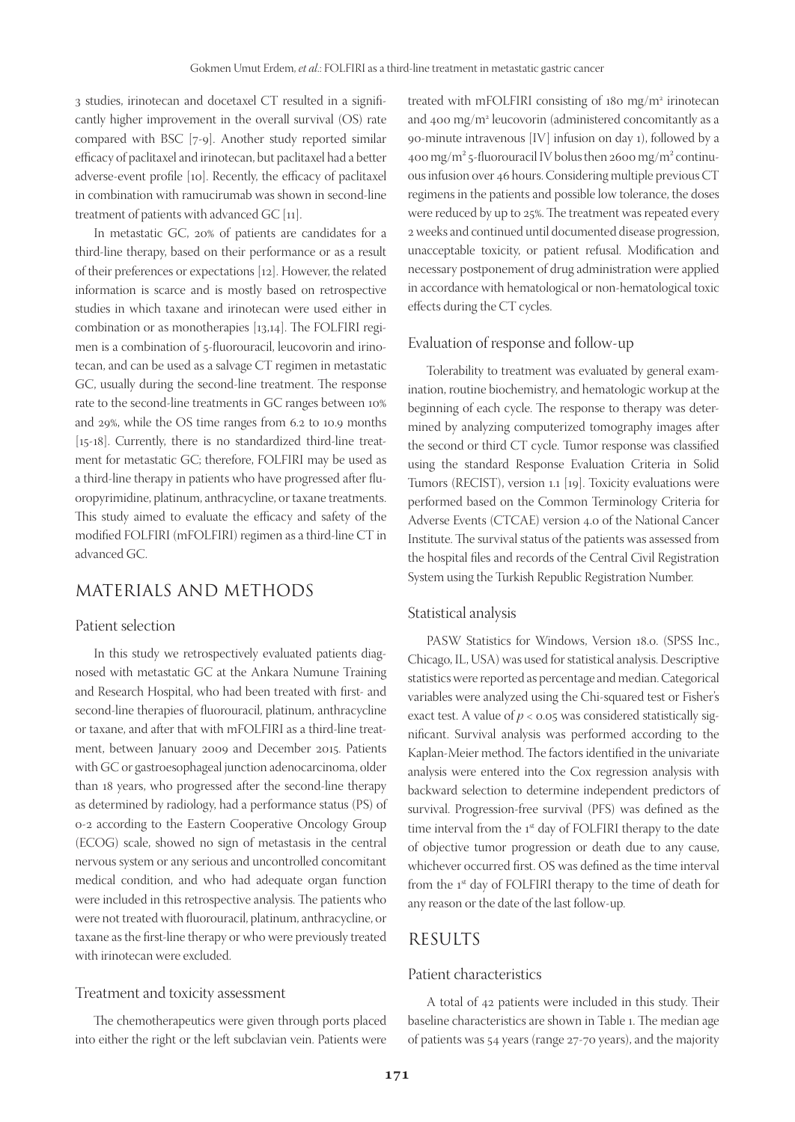3 studies, irinotecan and docetaxel CT resulted in a significantly higher improvement in the overall survival (OS) rate compared with BSC [7-9]. Another study reported similar efficacy of paclitaxel and irinotecan, but paclitaxel had a better adverse-event profile [10]. Recently, the efficacy of paclitaxel in combination with ramucirumab was shown in second-line treatment of patients with advanced GC [11].

In metastatic GC, 20% of patients are candidates for a third-line therapy, based on their performance or as a result of their preferences or expectations [12]. However, the related information is scarce and is mostly based on retrospective studies in which taxane and irinotecan were used either in combination or as monotherapies [13,14]. The FOLFIRI regimen is a combination of 5-fluorouracil, leucovorin and irinotecan, and can be used as a salvage CT regimen in metastatic GC, usually during the second-line treatment. The response rate to the second-line treatments in GC ranges between 10% and 29%, while the OS time ranges from 6.2 to 10.9 months [15-18]. Currently, there is no standardized third-line treatment for metastatic GC; therefore, FOLFIRI may be used as a third-line therapy in patients who have progressed after fluoropyrimidine, platinum, anthracycline, or taxane treatments. This study aimed to evaluate the efficacy and safety of the modified FOLFIRI (mFOLFIRI) regimen as a third-line CT in advanced GC.

## MATERIALS AND METHODS

#### Patient selection

In this study we retrospectively evaluated patients diagnosed with metastatic GC at the Ankara Numune Training and Research Hospital, who had been treated with first- and second-line therapies of fluorouracil, platinum, anthracycline or taxane, and after that with mFOLFIRI as a third-line treatment, between January 2009 and December 2015. Patients with GC or gastroesophageal junction adenocarcinoma, older than 18 years, who progressed after the second-line therapy as determined by radiology, had a performance status (PS) of 0-2 according to the Eastern Cooperative Oncology Group (ECOG) scale, showed no sign of metastasis in the central nervous system or any serious and uncontrolled concomitant medical condition, and who had adequate organ function were included in this retrospective analysis. The patients who were not treated with fluorouracil, platinum, anthracycline, or taxane as the first-line therapy or who were previously treated with irinotecan were excluded.

#### Treatment and toxicity assessment

The chemotherapeutics were given through ports placed into either the right or the left subclavian vein. Patients were

treated with mFOLFIRI consisting of 180 mg/m<sup>2</sup> irinotecan and 400 mg/m2 leucovorin (administered concomitantly as a 90-minute intravenous [IV] infusion on day 1), followed by a 400 mg/m<sup>2</sup> 5-fluorouracil IV bolus then 2600 mg/m<sup>2</sup> continuous infusion over 46 hours. Considering multiple previous CT regimens in the patients and possible low tolerance, the doses were reduced by up to 25%. The treatment was repeated every 2 weeks and continued until documented disease progression, unacceptable toxicity, or patient refusal. Modification and necessary postponement of drug administration were applied in accordance with hematological or non-hematological toxic effects during the CT cycles.

#### Evaluation of response and follow-up

Tolerability to treatment was evaluated by general examination, routine biochemistry, and hematologic workup at the beginning of each cycle. The response to therapy was determined by analyzing computerized tomography images after the second or third CT cycle. Tumor response was classified using the standard Response Evaluation Criteria in Solid Tumors (RECIST), version 1.1 [19]. Toxicity evaluations were performed based on the Common Terminology Criteria for Adverse Events (CTCAE) version 4.0 of the National Cancer Institute. The survival status of the patients was assessed from the hospital files and records of the Central Civil Registration System using the Turkish Republic Registration Number.

#### Statistical analysis

PASW Statistics for Windows, Version 18.0. (SPSS Inc., Chicago, IL, USA) was used for statistical analysis. Descriptive statistics were reported as percentage and median. Categorical variables were analyzed using the Chi-squared test or Fisher's exact test. A value of  $p < 0.05$  was considered statistically significant. Survival analysis was performed according to the Kaplan-Meier method. The factors identified in the univariate analysis were entered into the Cox regression analysis with backward selection to determine independent predictors of survival. Progression-free survival (PFS) was defined as the time interval from the 1<sup>st</sup> day of FOLFIRI therapy to the date of objective tumor progression or death due to any cause, whichever occurred first. OS was defined as the time interval from the 1<sup>st</sup> day of FOLFIRI therapy to the time of death for any reason or the date of the last follow-up.

## RESULTS

#### Patient characteristics

A total of 42 patients were included in this study. Their baseline characteristics are shown in Table 1. The median age of patients was 54 years (range 27-70 years), and the majority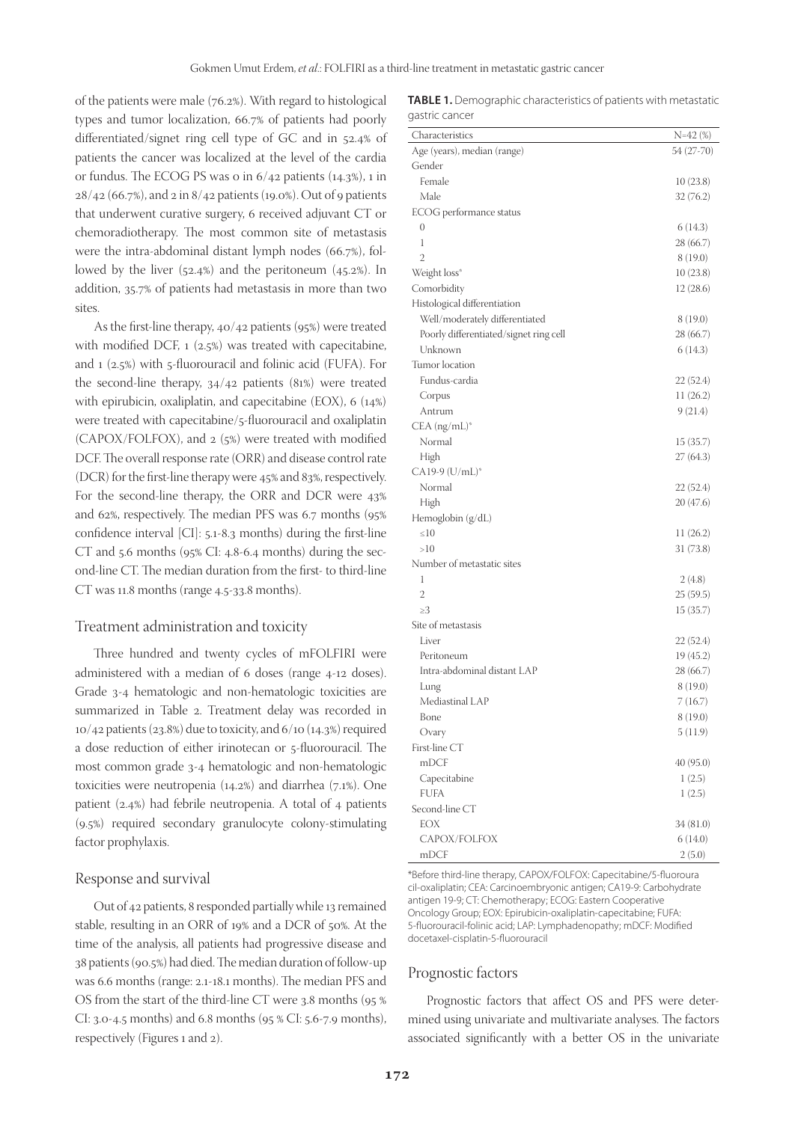of the patients were male (76.2%). With regard to histological types and tumor localization, 66.7% of patients had poorly differentiated/signet ring cell type of GC and in 52.4% of patients the cancer was localized at the level of the cardia or fundus. The ECOG PS was 0 in 6/42 patients (14.3%), 1 in 28/42 (66.7%), and 2 in 8/42 patients (19.0%). Out of 9 patients that underwent curative surgery, 6 received adjuvant CT or chemoradiotherapy. The most common site of metastasis were the intra-abdominal distant lymph nodes (66.7%), followed by the liver (52.4%) and the peritoneum (45.2%). In addition, 35.7% of patients had metastasis in more than two sites.

As the first-line therapy, 40/42 patients (95%) were treated with modified DCF, 1 (2.5%) was treated with capecitabine, and 1 (2.5%) with 5-fluorouracil and folinic acid (FUFA). For the second-line therapy, 34/42 patients (81%) were treated with epirubicin, oxaliplatin, and capecitabine (EOX), 6 (14%) were treated with capecitabine/5-fluorouracil and oxaliplatin (CAPOX/FOLFOX), and 2 (5%) were treated with modified DCF. The overall response rate (ORR) and disease control rate (DCR) for the first-line therapy were 45% and 83%, respectively. For the second-line therapy, the ORR and DCR were 43% and 62%, respectively. The median PFS was 6.7 months (95% confidence interval [CI]: 5.1-8.3 months) during the first-line CT and 5.6 months (95% CI: 4.8-6.4 months) during the second-line CT. The median duration from the first- to third-line CT was 11.8 months (range 4.5-33.8 months).

#### Treatment administration and toxicity

Three hundred and twenty cycles of mFOLFIRI were administered with a median of 6 doses (range 4-12 doses). Grade 3-4 hematologic and non-hematologic toxicities are summarized in Table 2. Treatment delay was recorded in  $10/42$  patients (23.8%) due to toxicity, and  $6/10$  (14.3%) required a dose reduction of either irinotecan or 5-fluorouracil. The most common grade 3-4 hematologic and non-hematologic toxicities were neutropenia (14.2%) and diarrhea (7.1%). One patient (2.4%) had febrile neutropenia. A total of 4 patients (9.5%) required secondary granulocyte colony-stimulating factor prophylaxis.

#### Response and survival

Out of 42 patients, 8 responded partially while 13 remained stable, resulting in an ORR of 19% and a DCR of 50%. At the time of the analysis, all patients had progressive disease and 38 patients (90.5%) had died. The median duration of follow-up was 6.6 months (range: 2.1-18.1 months). The median PFS and OS from the start of the third-line CT were 3.8 months (95 % CI: 3.0-4.5 months) and 6.8 months (95 % CI: 5.6-7.9 months), respectively (Figures 1 and 2).

**TABLE 1.** Demographic characteristics of patients with metastatic gastric cancer

| Characteristics                        | $N=42$ (%) |
|----------------------------------------|------------|
| Age (years), median (range)            | 54 (27-70) |
| Gender                                 |            |
| Female                                 | 10(23.8)   |
| Male                                   | 32 (76.2)  |
| ECOG performance status                |            |
| 0                                      | 6 (14.3)   |
| 1                                      | 28 (66.7)  |
| $\overline{2}$                         | 8 (19.0)   |
| Weight loss*                           | 10(23.8)   |
| Comorbidity                            | 12 (28.6)  |
| Histological differentiation           |            |
| Well/moderately differentiated         | 8 (19.0)   |
| Poorly differentiated/signet ring cell | 28 (66.7)  |
| Unknown                                | 6(14.3)    |
| Tumor location                         |            |
| Fundus-cardia                          | 22(52.4)   |
| Corpus                                 | 11 (26.2)  |
| Antrum                                 | 9(21.4)    |
| $CEA (ng/mL)*$                         |            |
| Normal                                 | 15(35.7)   |
| High                                   | 27 (64.3)  |
| CA19-9 (U/mL)*                         |            |
| Normal                                 | 22(52.4)   |
| High                                   | 20 (47.6)  |
| Hemoglobin (g/dL)                      |            |
| $\leq 10$                              | 11(26.2)   |
| >10                                    | 31 (73.8)  |
| Number of metastatic sites             |            |
| 1                                      | 2 (4.8)    |
| 2                                      | 25(59.5)   |
| >3                                     | 15(35.7)   |
| Site of metastasis                     |            |
| Liver                                  | 22(52.4)   |
| Peritoneum                             | 19(45.2)   |
| Intra-abdominal distant LAP            | 28 (66.7)  |
| Lung                                   | 8 (19.0)   |
| Mediastinal LAP                        | 7(16.7)    |
| Bone                                   | 8(19.0)    |
| Ovary                                  | 5(11.9)    |
| First-line CT                          |            |
| mDCF                                   | 40(95.0)   |
| Capecitabine                           | 1(2.5)     |
| <b>FUFA</b>                            |            |
| Second-line CT                         | 1(2.5)     |
| <b>EOX</b>                             |            |
|                                        | 34(81.0)   |
| CAPOX/FOLFOX                           | 6(14.0)    |
| mDCF                                   | 2(5.0)     |

\*Before third-line therapy, CAPOX/FOLFOX: Capecitabine/5-fluoroura cil-oxaliplatin; CEA: Carcinoembryonic antigen; CA19-9: Carbohydrate antigen 19-9; CT: Chemotherapy; ECOG: Eastern Cooperative Oncology Group; EOX: Epirubicin-oxaliplatin-capecitabine; FUFA: 5-fluorouracil-folinic acid; LAP: Lymphadenopathy; mDCF: Modified docetaxel-cisplatin-5-fluorouracil

#### Prognostic factors

Prognostic factors that affect OS and PFS were determined using univariate and multivariate analyses. The factors associated significantly with a better OS in the univariate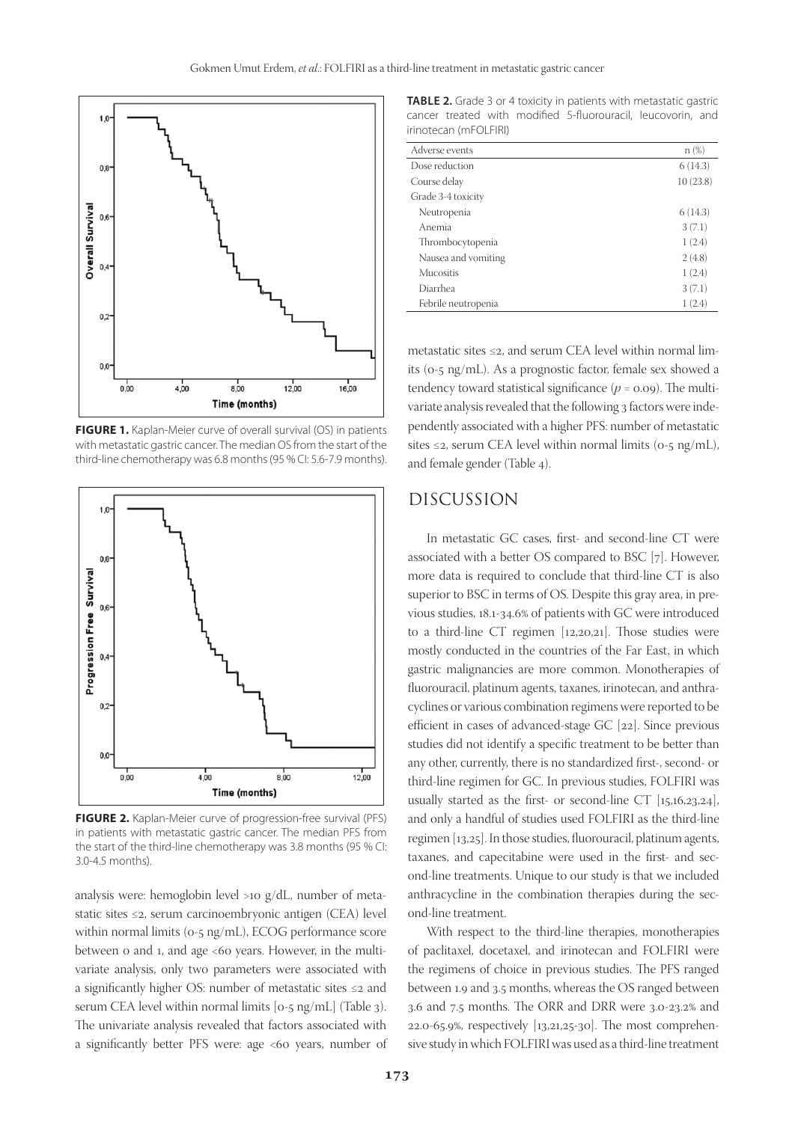

**FIGURE 1.** Kaplan-Meier curve of overall survival (OS) in patients with metastatic gastric cancer. The median OS from the start of the third-line chemotherapy was 6.8 months (95 % CI: 5.6-7.9 months).



**FIGURE 2.** Kaplan-Meier curve of progression-free survival (PFS) in patients with metastatic gastric cancer. The median PFS from the start of the third-line chemotherapy was 3.8 months (95 % CI: 3.0-4.5 months).

analysis were: hemoglobin level >10 g/dL, number of metastatic sites ≤2, serum carcinoembryonic antigen (CEA) level within normal limits (0-5 ng/mL), ECOG performance score between 0 and 1, and age <60 years. However, in the multivariate analysis, only two parameters were associated with a significantly higher OS: number of metastatic sites ≤2 and serum CEA level within normal limits [0-5 ng/mL] (Table 3). The univariate analysis revealed that factors associated with a significantly better PFS were: age <60 years, number of

**TABLE 2.** Grade 3 or 4 toxicity in patients with metastatic gastric cancer treated with modified 5-fluorouracil, leucovorin, and irinotecan (mFOLFIRI)

| Adverse events      | n(%)     |
|---------------------|----------|
| Dose reduction      | 6(14.3)  |
| Course delay        | 10(23.8) |
| Grade 3-4 toxicity  |          |
| Neutropenia         | 6(14.3)  |
| Anemia              | 3(7.1)   |
| Thrombocytopenia    | 1(2.4)   |
| Nausea and vomiting | 2(4.8)   |
| <b>Mucositis</b>    | 1(2.4)   |
| Diarrhea            | 3(7.1)   |
| Febrile neutropenia | 1(2.4)   |

metastatic sites ≤2, and serum CEA level within normal limits (0-5 ng/mL). As a prognostic factor, female sex showed a tendency toward statistical significance  $(p = 0.09)$ . The multivariate analysis revealed that the following 3 factors were independently associated with a higher PFS: number of metastatic sites  $\leq$ 2, serum CEA level within normal limits (0-5 ng/mL), and female gender (Table 4).

# DISCUSSION

In metastatic GC cases, first- and second-line CT were associated with a better OS compared to BSC [7]. However, more data is required to conclude that third-line CT is also superior to BSC in terms of OS. Despite this gray area, in previous studies, 18.1-34.6% of patients with GC were introduced to a third-line CT regimen [12,20,21]. Those studies were mostly conducted in the countries of the Far East, in which gastric malignancies are more common. Monotherapies of fluorouracil, platinum agents, taxanes, irinotecan, and anthracyclines or various combination regimens were reported to be efficient in cases of advanced-stage GC [22]. Since previous studies did not identify a specific treatment to be better than any other, currently, there is no standardized first-, second- or third-line regimen for GC. In previous studies, FOLFIRI was usually started as the first- or second-line CT  $[15,16,23,24]$ , and only a handful of studies used FOLFIRI as the third-line regimen [13,25]. In those studies, fluorouracil, platinum agents, taxanes, and capecitabine were used in the first- and second-line treatments. Unique to our study is that we included anthracycline in the combination therapies during the second-line treatment.

With respect to the third-line therapies, monotherapies of paclitaxel, docetaxel, and irinotecan and FOLFIRI were the regimens of choice in previous studies. The PFS ranged between 1.9 and 3.5 months, whereas the OS ranged between 3.6 and 7.5 months. The ORR and DRR were 3.0-23.2% and 22.0-65.9%, respectively [13,21,25-30]. The most comprehensive study in which FOLFIRI was used as a third-line treatment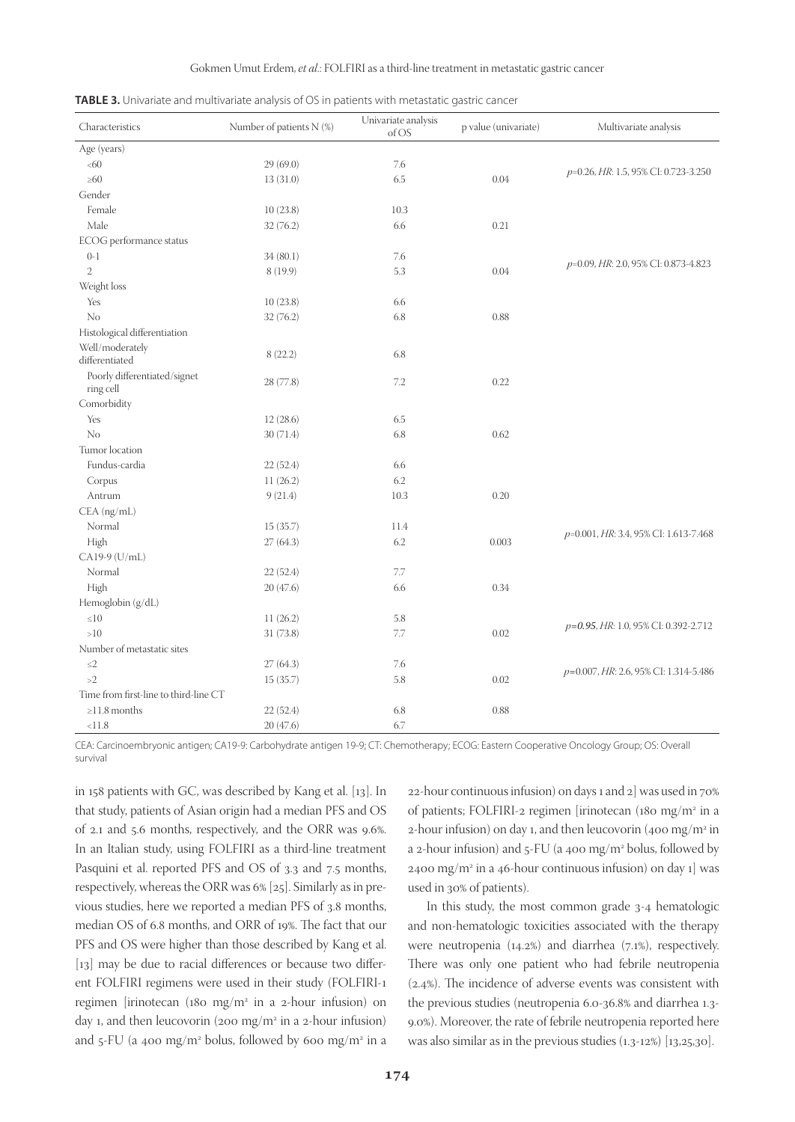|  | <b>TABLE 3.</b> Univariate and multivariate analysis of OS in patients with metastatic gastric cancer |
|--|-------------------------------------------------------------------------------------------------------|
|--|-------------------------------------------------------------------------------------------------------|

| Characteristics                           | Number of patients N (%) | Univariate analysis<br>of OS | p value (univariate) | Multivariate analysis                 |
|-------------------------------------------|--------------------------|------------------------------|----------------------|---------------------------------------|
| Age (years)                               |                          |                              |                      |                                       |
| <60                                       | 29(69.0)                 | 7.6                          |                      |                                       |
| $\geq 60$                                 | 13(31.0)                 | 6.5                          | 0.04                 | p=0.26, HR: 1.5, 95% CI: 0.723-3.250  |
| Gender                                    |                          |                              |                      |                                       |
| Female                                    | 10(23.8)                 | 10.3                         |                      |                                       |
| Male                                      | 32(76.2)                 | 6.6                          | 0.21                 |                                       |
| ECOG performance status                   |                          |                              |                      |                                       |
| $0-1$                                     | 34(80.1)                 | 7.6                          |                      |                                       |
| $\overline{2}$                            | 8(19.9)                  | 5.3                          | 0.04                 | p=0.09, HR: 2.0, 95% CI: 0.873-4.823  |
| Weight loss                               |                          |                              |                      |                                       |
| Yes                                       | 10(23.8)                 | 6.6                          |                      |                                       |
| No                                        | 32(76.2)                 | 6.8                          | 0.88                 |                                       |
| Histological differentiation              |                          |                              |                      |                                       |
| Well/moderately<br>differentiated         | 8(22.2)                  | 6.8                          |                      |                                       |
| Poorly differentiated/signet<br>ring cell | 28 (77.8)                | $7.2\,$                      | 0.22                 |                                       |
| Comorbidity                               |                          |                              |                      |                                       |
| Yes                                       | 12(28.6)                 | 6.5                          |                      |                                       |
| No                                        | 30(71.4)                 | 6.8                          | 0.62                 |                                       |
| Tumor location                            |                          |                              |                      |                                       |
| Fundus-cardia                             | 22(52.4)                 | 6.6                          |                      |                                       |
| Corpus                                    | 11(26.2)                 | 6.2                          |                      |                                       |
| Antrum                                    | 9(21.4)                  | 10.3                         | 0.20                 |                                       |
| CEA (ng/mL)                               |                          |                              |                      |                                       |
| Normal                                    | 15(35.7)                 | 11.4                         |                      |                                       |
| High                                      | 27(64.3)                 | 6.2                          | 0.003                | p=0.001, HR: 3.4, 95% CI: 1.613-7.468 |
| CA19-9 (U/mL)                             |                          |                              |                      |                                       |
| Normal                                    | 22(52.4)                 | 7.7                          |                      |                                       |
| High                                      | 20(47.6)                 | 6.6                          | 0.34                 |                                       |
| Hemoglobin (g/dL)                         |                          |                              |                      |                                       |
| $\leq 10$                                 | 11(26.2)                 | 5.8                          |                      |                                       |
| >10                                       | 31 (73.8)                | 7.7                          | 0.02                 | p=0.95, HR: 1.0, 95% CI: 0.392-2.712  |
| Number of metastatic sites                |                          |                              |                      |                                       |
| $\leq$ 2                                  | 27(64.3)                 | $7.6\,$                      |                      |                                       |
| >2                                        | 15(35.7)                 | 5.8                          | 0.02                 | p=0.007, HR: 2.6, 95% CI: 1.314-5.486 |
| Time from first-line to third-line CT     |                          |                              |                      |                                       |
| $\geq$ 11.8 months                        | 22(52.4)                 | 6.8                          | 0.88                 |                                       |
| < 11.8                                    | 20(47.6)                 | 6.7                          |                      |                                       |

CEA: Carcinoembryonic antigen; CA19-9: Carbohydrate antigen 19-9; CT: Chemotherapy; ECOG: Eastern Cooperative Oncology Group; OS: Overall survival

in 158 patients with GC, was described by Kang et al. [13]. In that study, patients of Asian origin had a median PFS and OS of 2.1 and 5.6 months, respectively, and the ORR was 9.6%. In an Italian study, using FOLFIRI as a third-line treatment Pasquini et al. reported PFS and OS of 3.3 and 7.5 months, respectively, whereas the ORR was 6% [25]. Similarly as in previous studies, here we reported a median PFS of 3.8 months, median OS of 6.8 months, and ORR of 19%. The fact that our PFS and OS were higher than those described by Kang et al. [13] may be due to racial differences or because two different FOLFIRI regimens were used in their study (FOLFIRI-1 regimen [irinotecan (180 mg/m2 in a 2-hour infusion) on day 1, and then leucovorin (200 mg/m<sup>2</sup> in a 2-hour infusion) and 5-FU (a 400 mg/m<sup>2</sup> bolus, followed by 600 mg/m<sup>2</sup> in a 22-hour continuous infusion) on days 1 and 2] was used in 70% of patients; FOLFIRI-2 regimen [irinotecan (180 mg/m2 in a 2-hour infusion) on day 1, and then leucovorin (400 mg/m<sup>2</sup> in a 2-hour infusion) and 5-FU (a 400 mg/m<sup>2</sup> bolus, followed by  $2400 \text{ mg/m}^2$  in a 46-hour continuous infusion) on day 1] was used in 30% of patients).

In this study, the most common grade 3-4 hematologic and non-hematologic toxicities associated with the therapy were neutropenia (14.2%) and diarrhea (7.1%), respectively. There was only one patient who had febrile neutropenia (2.4%). The incidence of adverse events was consistent with the previous studies (neutropenia 6.0-36.8% and diarrhea 1.3- 9.0%). Moreover, the rate of febrile neutropenia reported here was also similar as in the previous studies (1.3-12%) [13,25,30].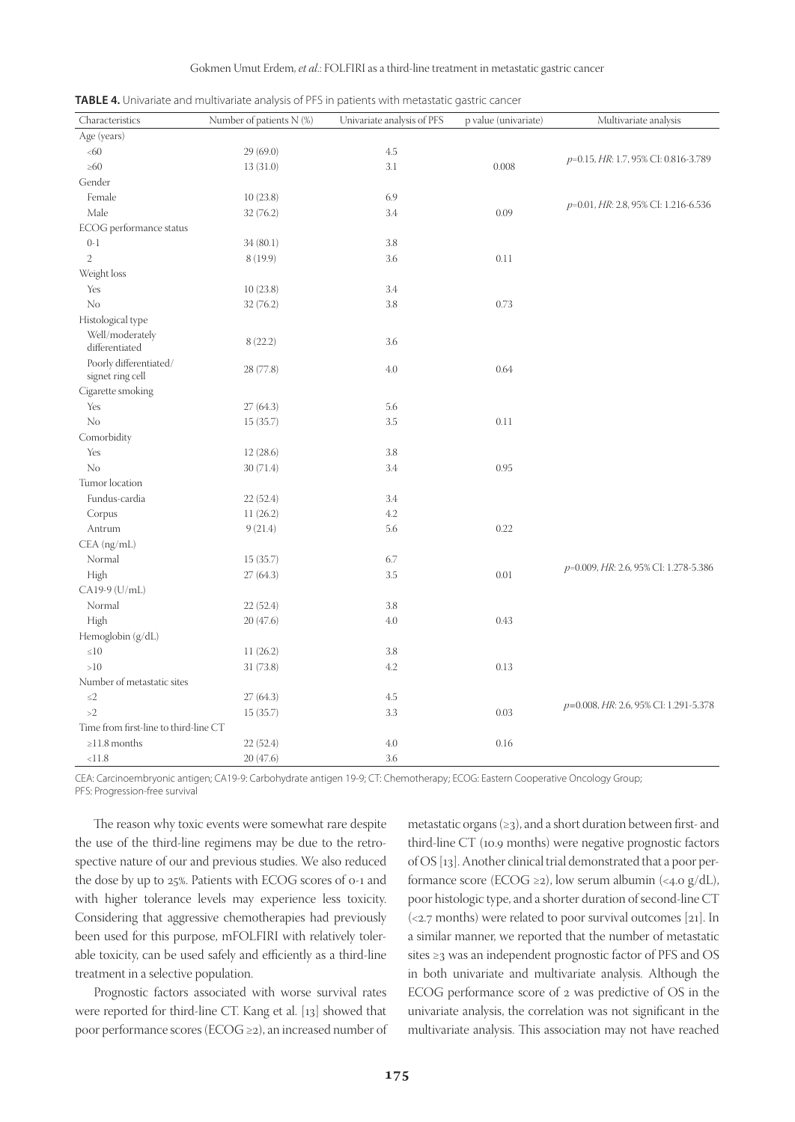|  |  | <b>TABLE 4.</b> Univariate and multivariate analysis of PFS in patients with metastatic gastric cancer |
|--|--|--------------------------------------------------------------------------------------------------------|
|  |  |                                                                                                        |

| Characteristics                            | Number of patients N (%) | Univariate analysis of PFS | p value (univariate) | Multivariate analysis                 |
|--------------------------------------------|--------------------------|----------------------------|----------------------|---------------------------------------|
| Age (years)                                |                          |                            |                      |                                       |
| <60                                        | 29(69.0)                 | 4.5                        |                      |                                       |
| $\geq 60$                                  | 13(31.0)                 | 3.1                        | 0.008                | p=0.15, HR: 1.7, 95% CI: 0.816-3.789  |
| Gender                                     |                          |                            |                      |                                       |
| Female                                     | 10(23.8)                 | 6.9                        |                      |                                       |
| Male                                       | 32(76.2)                 | 3.4                        | 0.09                 | p=0.01, HR: 2.8, 95% CI: 1.216-6.536  |
| ECOG performance status                    |                          |                            |                      |                                       |
| $0-1$                                      | 34(80.1)                 | 3.8                        |                      |                                       |
| $\overline{2}$                             | 8(19.9)                  | 3.6                        | 0.11                 |                                       |
| Weight loss                                |                          |                            |                      |                                       |
| Yes                                        | 10(23.8)                 | 3.4                        |                      |                                       |
| No                                         | 32(76.2)                 | 3.8                        | 0.73                 |                                       |
| Histological type                          |                          |                            |                      |                                       |
| Well/moderately<br>differentiated          | 8(22.2)                  | 3.6                        |                      |                                       |
| Poorly differentiated/<br>signet ring cell | 28 (77.8)                | 4.0                        | 0.64                 |                                       |
| Cigarette smoking                          |                          |                            |                      |                                       |
| Yes                                        | 27(64.3)                 | 5.6                        |                      |                                       |
| No                                         | 15(35.7)                 | 3.5                        | 0.11                 |                                       |
| Comorbidity                                |                          |                            |                      |                                       |
| Yes                                        | 12(28.6)                 | 3.8                        |                      |                                       |
| No                                         | 30(71.4)                 | 3.4                        | 0.95                 |                                       |
| Tumor location                             |                          |                            |                      |                                       |
| Fundus-cardia                              | 22(52.4)                 | 3.4                        |                      |                                       |
| Corpus                                     | 11(26.2)                 | 4.2                        |                      |                                       |
| Antrum                                     | 9(21.4)                  | 5.6                        | 0.22                 |                                       |
| CEA (ng/mL)                                |                          |                            |                      |                                       |
| Normal                                     | 15(35.7)                 | 6.7                        |                      |                                       |
| High                                       | 27(64.3)                 | 3.5                        | 0.01                 | p=0.009, HR: 2.6, 95% CI: 1.278-5.386 |
| CA19-9 (U/mL)                              |                          |                            |                      |                                       |
| Normal                                     | 22(52.4)                 | 3.8                        |                      |                                       |
| High                                       | 20(47.6)                 | 4.0                        | 0.43                 |                                       |
| Hemoglobin (g/dL)                          |                          |                            |                      |                                       |
| ${\leq}10$                                 | 11(26.2)                 | 3.8                        |                      |                                       |
| >10                                        | 31(73.8)                 | 4.2                        | 0.13                 |                                       |
| Number of metastatic sites                 |                          |                            |                      |                                       |
| $\leq\!\!2$                                | 27(64.3)                 | 4.5                        |                      |                                       |
| >2                                         | 15(35.7)                 | 3.3                        | 0.03                 | p=0.008, HR: 2.6, 95% CI: 1.291-5.378 |
| Time from first-line to third-line CT      |                          |                            |                      |                                       |
| $\geq$ 11.8 months                         | 22 (52.4)                | 4.0                        | 0.16                 |                                       |
| < 11.8                                     | 20(47.6)                 | 3.6                        |                      |                                       |

CEA: Carcinoembryonic antigen; CA19-9: Carbohydrate antigen 19-9; CT: Chemotherapy; ECOG: Eastern Cooperative Oncology Group; PFS: Progression-free survival

The reason why toxic events were somewhat rare despite the use of the third-line regimens may be due to the retrospective nature of our and previous studies. We also reduced the dose by up to 25%. Patients with ECOG scores of 0-1 and with higher tolerance levels may experience less toxicity. Considering that aggressive chemotherapies had previously been used for this purpose, mFOLFIRI with relatively tolerable toxicity, can be used safely and efficiently as a third-line treatment in a selective population.

Prognostic factors associated with worse survival rates were reported for third-line CT. Kang et al. [13] showed that poor performance scores (ECOG ≥2), an increased number of metastatic organs  $(\geq 3)$ , and a short duration between first- and third-line CT (10.9 months) were negative prognostic factors of OS [13]. Another clinical trial demonstrated that a poor performance score (ECOG ≥2), low serum albumin (<4.0 g/dL), poor histologic type, and a shorter duration of second-line CT (<2.7 months) were related to poor survival outcomes [21]. In a similar manner, we reported that the number of metastatic sites ≥3 was an independent prognostic factor of PFS and OS in both univariate and multivariate analysis. Although the ECOG performance score of 2 was predictive of OS in the univariate analysis, the correlation was not significant in the multivariate analysis. This association may not have reached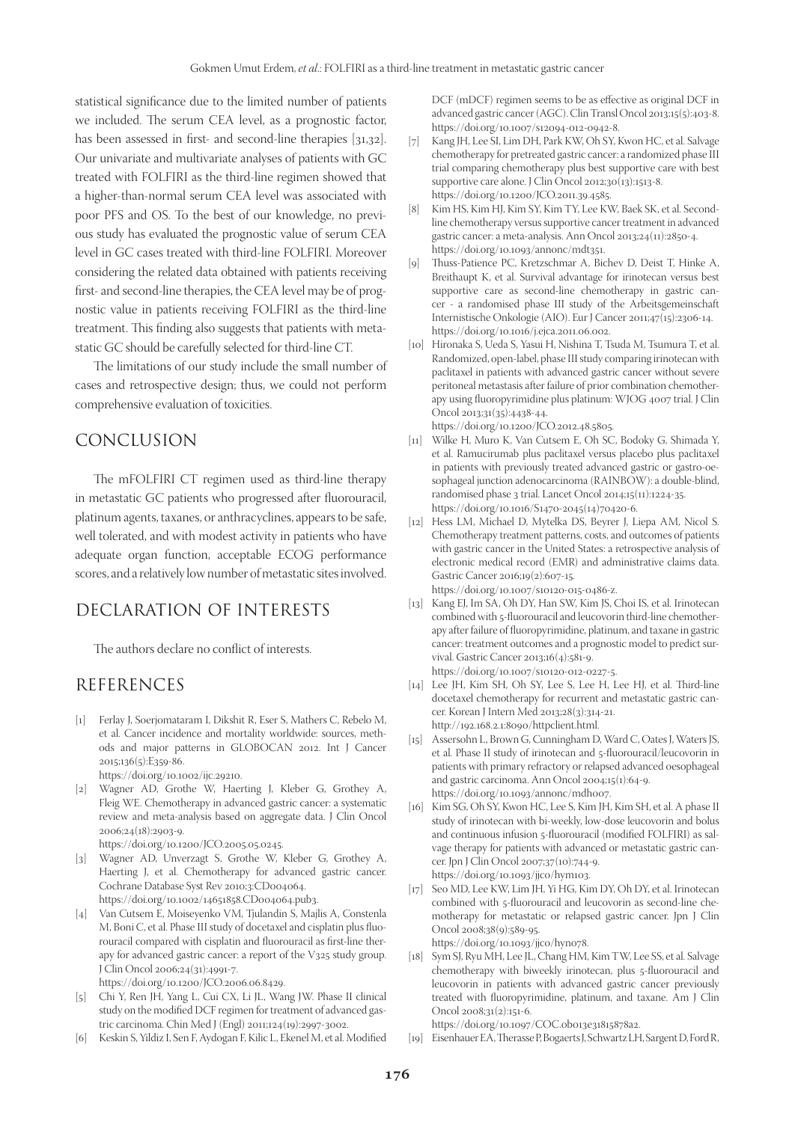statistical significance due to the limited number of patients we included. The serum CEA level, as a prognostic factor, has been assessed in first- and second-line therapies [31,32]. Our univariate and multivariate analyses of patients with GC treated with FOLFIRI as the third-line regimen showed that a higher-than-normal serum CEA level was associated with poor PFS and OS. To the best of our knowledge, no previous study has evaluated the prognostic value of serum CEA level in GC cases treated with third-line FOLFIRI. Moreover considering the related data obtained with patients receiving first- and second-line therapies, the CEA level may be of prognostic value in patients receiving FOLFIRI as the third-line treatment. This finding also suggests that patients with metastatic GC should be carefully selected for third-line CT.

The limitations of our study include the small number of cases and retrospective design; thus, we could not perform comprehensive evaluation of toxicities.

### CONCLUSION

The mFOLFIRI CT regimen used as third-line therapy in metastatic GC patients who progressed after fluorouracil, platinum agents, taxanes, or anthracyclines, appears to be safe, well tolerated, and with modest activity in patients who have adequate organ function, acceptable ECOG performance scores, and a relatively low number of metastatic sites involved.

## DECLARATION OF INTERESTS

The authors declare no conflict of interests.

## REFERENCES

- [1] Ferlay J, Soerjomataram I, Dikshit R, Eser S, Mathers C, Rebelo M, et al. Cancer incidence and mortality worldwide: sources, methods and major patterns in GLOBOCAN 2012. Int J Cancer 2015;136(5):E359-86. https://doi.org/10.1002/ijc.29210.
- [2] Wagner AD, Grothe W, Haerting J, Kleber G, Grothey A, Fleig WE. Chemotherapy in advanced gastric cancer: a systematic review and meta-analysis based on aggregate data. J Clin Oncol 2006;24(18):2903-9.
	- https://doi.org/10.1200/JCO.2005.05.0245.
- [3] Wagner AD, Unverzagt S, Grothe W, Kleber G, Grothey A, Haerting J, et al. Chemotherapy for advanced gastric cancer. Cochrane Database Syst Rev 2010;3:CD004064. https://doi.org/10.1002/14651858.CD004064.pub3.
- [4] Van Cutsem E, Moiseyenko VM, Tjulandin S, Majlis A, Constenla M, Boni C, et al. Phase III study of docetaxel and cisplatin plus fluorouracil compared with cisplatin and fluorouracil as first-line therapy for advanced gastric cancer: a report of the V325 study group. J Clin Oncol 2006;24(31):4991-7. https://doi.org/10.1200/JCO.2006.06.8429.
- [5] Chi Y, Ren JH, Yang L, Cui CX, Li JL, Wang JW. Phase II clinical study on the modified DCF regimen for treatment of advanced gastric carcinoma. Chin Med J (Engl) 2011;124(19):2997-3002.
- [6] Keskin S, Yildiz I, Sen F, Aydogan F, Kilic L, Ekenel M, et al. Modified

DCF (mDCF) regimen seems to be as effective as original DCF in advanced gastric cancer (AGC). Clin Transl Oncol 2013;15(5):403-8. https://doi.org/10.1007/s12094-012-0942-8.

- [7] Kang JH, Lee SI, Lim DH, Park KW, Oh SY, Kwon HC, et al. Salvage chemotherapy for pretreated gastric cancer: a randomized phase III trial comparing chemotherapy plus best supportive care with best supportive care alone. J Clin Oncol 2012;30(13):1513-8. https://doi.org/10.1200/JCO.2011.39.4585.
- [8] Kim HS, Kim HJ, Kim SY, Kim TY, Lee KW, Baek SK, et al. Secondline chemotherapy versus supportive cancer treatment in advanced gastric cancer: a meta-analysis. Ann Oncol 2013;24(11):2850-4. https://doi.org/10.1093/annonc/mdt351.
- [9] Thuss-Patience PC, Kretzschmar A, Bichev D, Deist T, Hinke A, Breithaupt K, et al. Survival advantage for irinotecan versus best supportive care as second-line chemotherapy in gastric cancer - a randomised phase III study of the Arbeitsgemeinschaft Internistische Onkologie (AIO). Eur J Cancer 2011;47(15):2306-14. https://doi.org/10.1016/j.ejca.2011.06.002.
- [10] Hironaka S, Ueda S, Yasui H, Nishina T, Tsuda M, Tsumura T, et al. Randomized, open-label, phase III study comparing irinotecan with paclitaxel in patients with advanced gastric cancer without severe peritoneal metastasis after failure of prior combination chemotherapy using fluoropyrimidine plus platinum: WJOG 4007 trial. J Clin Oncol 2013;31(35):4438-44. https://doi.org/10.1200/JCO.2012.48.5805.
- [11] Wilke H, Muro K, Van Cutsem E, Oh SC, Bodoky G, Shimada Y, et al. Ramucirumab plus paclitaxel versus placebo plus paclitaxel in patients with previously treated advanced gastric or gastro-oesophageal junction adenocarcinoma (RAINBOW): a double-blind, randomised phase 3 trial. Lancet Oncol 2014;15(11):1224-35. https://doi.org/10.1016/S1470-2045(14)70420-6.
- [12] Hess LM, Michael D, Mytelka DS, Beyrer J, Liepa AM, Nicol S. Chemotherapy treatment patterns, costs, and outcomes of patients with gastric cancer in the United States: a retrospective analysis of electronic medical record (EMR) and administrative claims data. Gastric Cancer 2016;19(2):607-15. https://doi.org/10.1007/s10120-015-0486-z.
- [13] Kang EJ, Im SA, Oh DY, Han SW, Kim JS, Choi IS, et al. Irinotecan combined with 5-fluorouracil and leucovorin third-line chemotherapy after failure of fluoropyrimidine, platinum, and taxane in gastric cancer: treatment outcomes and a prognostic model to predict survival. Gastric Cancer 2013;16(4):581-9. https://doi.org/10.1007/s10120-012-0227-5.
- [14] Lee JH, Kim SH, Oh SY, Lee S, Lee H, Lee HJ, et al. Third-line docetaxel chemotherapy for recurrent and metastatic gastric cancer. Korean J Intern Med 2013;28(3):314-21. http://192.168.2.1:8090/httpclient.html.
- [15] Assersohn L, Brown G, Cunningham D, Ward C, Oates J, Waters JS, et al. Phase II study of irinotecan and 5-fluorouracil/leucovorin in patients with primary refractory or relapsed advanced oesophageal and gastric carcinoma. Ann Oncol 2004;15(1):64-9. https://doi.org/10.1093/annonc/mdh007.
- [16] Kim SG, Oh SY, Kwon HC, Lee S, Kim JH, Kim SH, et al. A phase II study of irinotecan with bi-weekly, low-dose leucovorin and bolus and continuous infusion 5-fluorouracil (modified FOLFIRI) as salvage therapy for patients with advanced or metastatic gastric cancer. Jpn J Clin Oncol 2007;37(10):744-9. https://doi.org/10.1093/jjco/hym103.
- [17] Seo MD, Lee KW, Lim JH, Yi HG, Kim DY, Oh DY, et al. Irinotecan combined with 5-fluorouracil and leucovorin as second-line chemotherapy for metastatic or relapsed gastric cancer. Jpn J Clin Oncol 2008;38(9):589-95. https://doi.org/10.1093/jjco/hyn078.
- [18] Sym SJ, Ryu MH, Lee JL, Chang HM, Kim TW, Lee SS, et al. Salvage chemotherapy with biweekly irinotecan, plus 5-fluorouracil and leucovorin in patients with advanced gastric cancer previously treated with fluoropyrimidine, platinum, and taxane. Am J Clin Oncol 2008;31(2):151-6.

https://doi.org/10.1097/COC.0b013e31815878a2.

[19] Eisenhauer EA, Therasse P, Bogaerts J, Schwartz LH, Sargent D, Ford R,